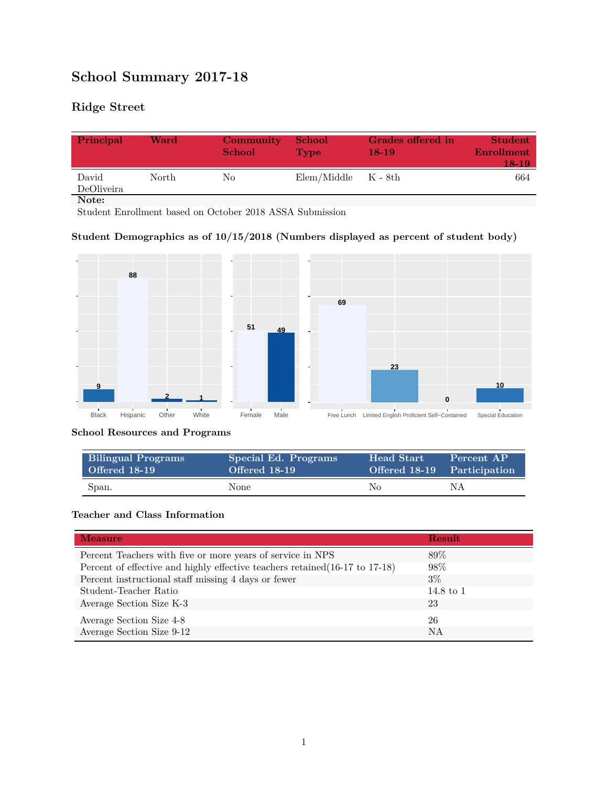# **School Summary 2017-18**

## **Ridge Street**

| Principal           | Ward  | Community<br><b>School</b> | <b>School</b><br><b>Type</b> | Grades offered in<br>$18-19$ | <b>Student</b><br>Enrollment<br>18-19 |
|---------------------|-------|----------------------------|------------------------------|------------------------------|---------------------------------------|
| David<br>DeOliveira | North | Nο                         | $Elem/Middle$ $K - 8th$      |                              | 664                                   |
| Note:               |       |                            |                              |                              |                                       |

Student Enrollment based on October 2018 ASSA Submission

#### **Student Demographics as of 10/15/2018 (Numbers displayed as percent of student body)**



#### **School Resources and Programs**

| <b>Bilingual Programs</b> | Special Ed. Programs | <b>Head Start</b>           | Percent AP |
|---------------------------|----------------------|-----------------------------|------------|
| Offered 18-19             | Offered 18-19        | Offered 18-19 Participation |            |
| Span.                     | None                 | No.                         | ΝA         |

#### **Teacher and Class Information**

| <b>Measure</b>                                                               | <b>Result</b>        |
|------------------------------------------------------------------------------|----------------------|
| Percent Teachers with five or more years of service in NPS                   | 89\%                 |
| Percent of effective and highly effective teachers retained (16-17 to 17-18) | 98%                  |
| Percent instructional staff missing 4 days or fewer                          | $3\%$                |
| Student-Teacher Ratio                                                        | $14.8 \text{ to } 1$ |
| Average Section Size K-3                                                     | 23                   |
| Average Section Size 4-8                                                     | 26                   |
| Average Section Size 9-12                                                    | <b>NA</b>            |